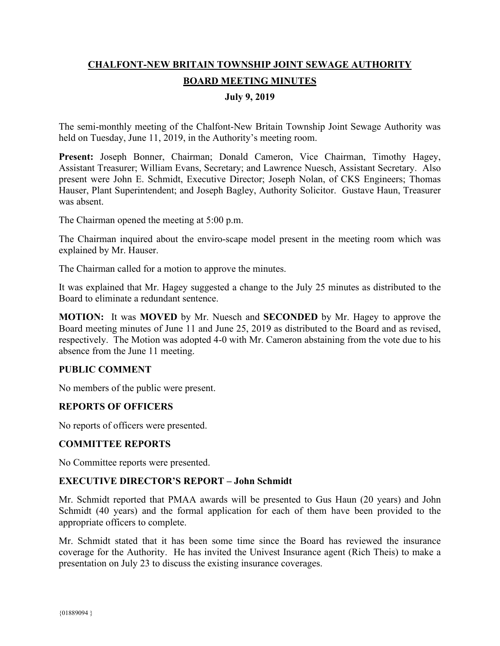# **CHALFONT-NEW BRITAIN TOWNSHIP JOINT SEWAGE AUTHORITY BOARD MEETING MINUTES**

## **July 9, 2019**

The semi-monthly meeting of the Chalfont-New Britain Township Joint Sewage Authority was held on Tuesday, June 11, 2019, in the Authority's meeting room.

Present: Joseph Bonner, Chairman; Donald Cameron, Vice Chairman, Timothy Hagey, Assistant Treasurer; William Evans, Secretary; and Lawrence Nuesch, Assistant Secretary. Also present were John E. Schmidt, Executive Director; Joseph Nolan, of CKS Engineers; Thomas Hauser, Plant Superintendent; and Joseph Bagley, Authority Solicitor. Gustave Haun, Treasurer was absent.

The Chairman opened the meeting at 5:00 p.m.

The Chairman inquired about the enviro-scape model present in the meeting room which was explained by Mr. Hauser.

The Chairman called for a motion to approve the minutes.

It was explained that Mr. Hagey suggested a change to the July 25 minutes as distributed to the Board to eliminate a redundant sentence.

**MOTION:** It was **MOVED** by Mr. Nuesch and **SECONDED** by Mr. Hagey to approve the Board meeting minutes of June 11 and June 25, 2019 as distributed to the Board and as revised, respectively. The Motion was adopted 4-0 with Mr. Cameron abstaining from the vote due to his absence from the June 11 meeting.

## **PUBLIC COMMENT**

No members of the public were present.

#### **REPORTS OF OFFICERS**

No reports of officers were presented.

#### **COMMITTEE REPORTS**

No Committee reports were presented.

#### **EXECUTIVE DIRECTOR'S REPORT – John Schmidt**

Mr. Schmidt reported that PMAA awards will be presented to Gus Haun (20 years) and John Schmidt (40 years) and the formal application for each of them have been provided to the appropriate officers to complete.

Mr. Schmidt stated that it has been some time since the Board has reviewed the insurance coverage for the Authority. He has invited the Univest Insurance agent (Rich Theis) to make a presentation on July 23 to discuss the existing insurance coverages.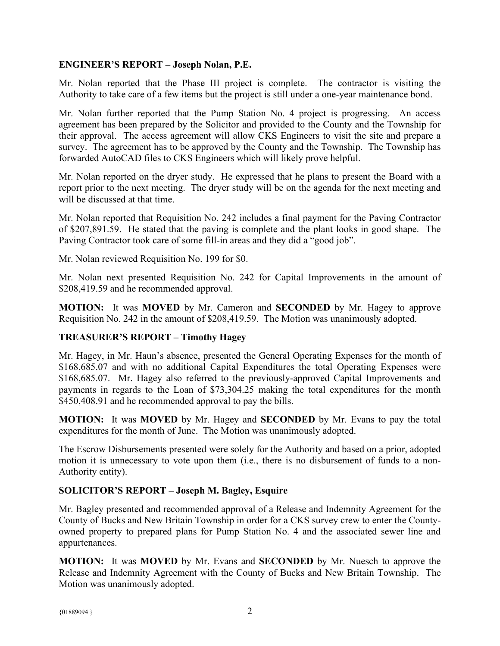## **ENGINEER'S REPORT – Joseph Nolan, P.E.**

Mr. Nolan reported that the Phase III project is complete. The contractor is visiting the Authority to take care of a few items but the project is still under a one-year maintenance bond.

Mr. Nolan further reported that the Pump Station No. 4 project is progressing. An access agreement has been prepared by the Solicitor and provided to the County and the Township for their approval. The access agreement will allow CKS Engineers to visit the site and prepare a survey. The agreement has to be approved by the County and the Township. The Township has forwarded AutoCAD files to CKS Engineers which will likely prove helpful.

Mr. Nolan reported on the dryer study. He expressed that he plans to present the Board with a report prior to the next meeting. The dryer study will be on the agenda for the next meeting and will be discussed at that time.

Mr. Nolan reported that Requisition No. 242 includes a final payment for the Paving Contractor of \$207,891.59. He stated that the paving is complete and the plant looks in good shape. The Paving Contractor took care of some fill-in areas and they did a "good job".

Mr. Nolan reviewed Requisition No. 199 for \$0.

Mr. Nolan next presented Requisition No. 242 for Capital Improvements in the amount of \$208,419.59 and he recommended approval.

**MOTION:** It was **MOVED** by Mr. Cameron and **SECONDED** by Mr. Hagey to approve Requisition No. 242 in the amount of \$208,419.59. The Motion was unanimously adopted.

# **TREASURER'S REPORT – Timothy Hagey**

Mr. Hagey, in Mr. Haun's absence, presented the General Operating Expenses for the month of \$168,685.07 and with no additional Capital Expenditures the total Operating Expenses were \$168,685.07. Mr. Hagey also referred to the previously-approved Capital Improvements and payments in regards to the Loan of \$73,304.25 making the total expenditures for the month \$450,408.91 and he recommended approval to pay the bills.

**MOTION:** It was **MOVED** by Mr. Hagey and **SECONDED** by Mr. Evans to pay the total expenditures for the month of June. The Motion was unanimously adopted.

The Escrow Disbursements presented were solely for the Authority and based on a prior, adopted motion it is unnecessary to vote upon them (i.e., there is no disbursement of funds to a non-Authority entity).

# **SOLICITOR'S REPORT – Joseph M. Bagley, Esquire**

Mr. Bagley presented and recommended approval of a Release and Indemnity Agreement for the County of Bucks and New Britain Township in order for a CKS survey crew to enter the Countyowned property to prepared plans for Pump Station No. 4 and the associated sewer line and appurtenances.

**MOTION:** It was **MOVED** by Mr. Evans and **SECONDED** by Mr. Nuesch to approve the Release and Indemnity Agreement with the County of Bucks and New Britain Township. The Motion was unanimously adopted.